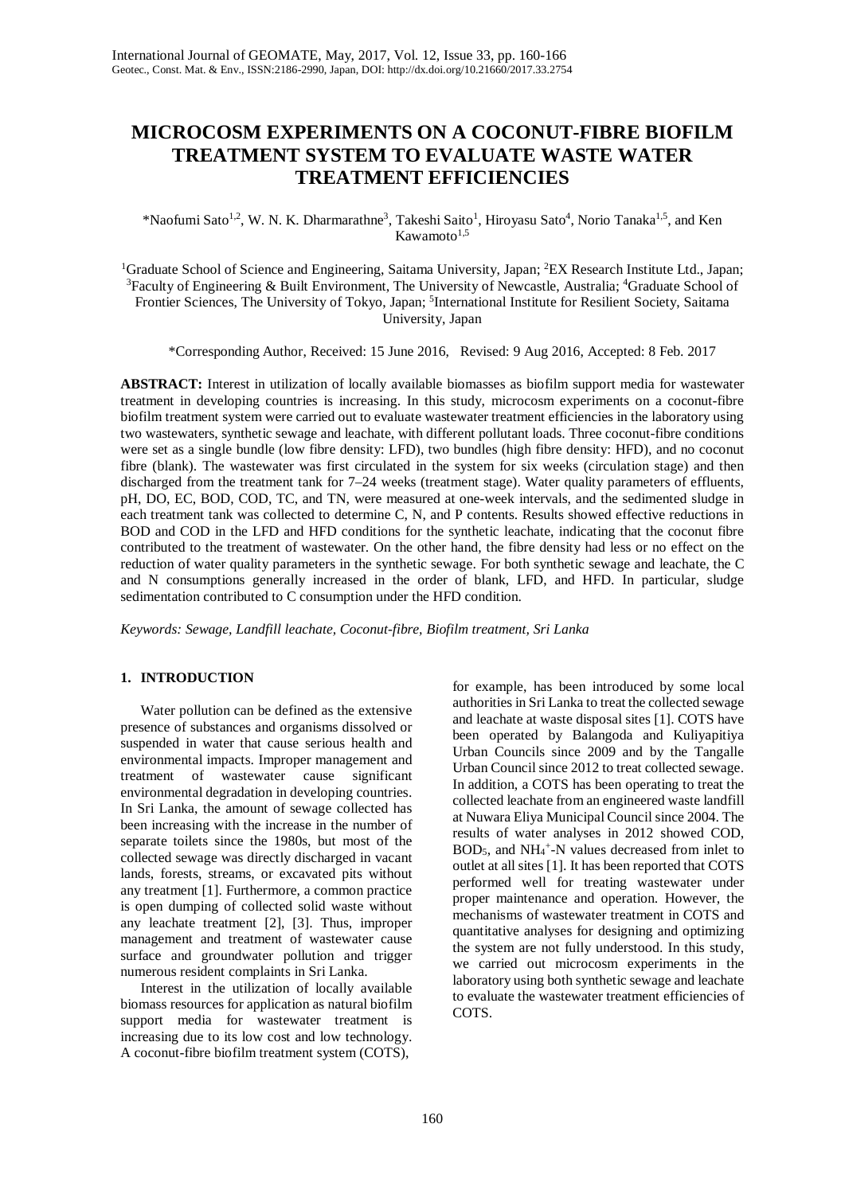# **MICROCOSM EXPERIMENTS ON A COCONUT-FIBRE BIOFILM TREATMENT SYSTEM TO EVALUATE WASTE WATER TREATMENT EFFICIENCIES**

\*Naofumi Sato<sup>1,2</sup>, W. N. K. Dharmarathne<sup>3</sup>, Takeshi Saito<sup>1</sup>, Hiroyasu Sato<sup>4</sup>, Norio Tanaka<sup>1,5</sup>, and Ken Kawamoto $1,5$ 

<sup>1</sup>Graduate School of Science and Engineering, Saitama University, Japan; <sup>2</sup>EX Research Institute Ltd., Japan; <sup>3</sup> Faculty of Engineering & Built Environment, The University of Newcastle, Australia; <sup>4</sup>Graduate School of Frontier Sciences, The University of Tokyo, Japan; <sup>5</sup>International Institute for Resilient Society, Saitama University, Japan

\*Corresponding Author, Received: 15 June 2016, Revised: 9 Aug 2016, Accepted: 8 Feb. 2017

**ABSTRACT:** Interest in utilization of locally available biomasses as biofilm support media for wastewater treatment in developing countries is increasing. In this study, microcosm experiments on a coconut-fibre biofilm treatment system were carried out to evaluate wastewater treatment efficiencies in the laboratory using two wastewaters, synthetic sewage and leachate, with different pollutant loads. Three coconut-fibre conditions were set as a single bundle (low fibre density: LFD), two bundles (high fibre density: HFD), and no coconut fibre (blank). The wastewater was first circulated in the system for six weeks (circulation stage) and then discharged from the treatment tank for 7–24 weeks (treatment stage). Water quality parameters of effluents, pH, DO, EC, BOD, COD, TC, and TN, were measured at one-week intervals, and the sedimented sludge in each treatment tank was collected to determine C, N, and P contents. Results showed effective reductions in BOD and COD in the LFD and HFD conditions for the synthetic leachate, indicating that the coconut fibre contributed to the treatment of wastewater. On the other hand, the fibre density had less or no effect on the reduction of water quality parameters in the synthetic sewage. For both synthetic sewage and leachate, the C and N consumptions generally increased in the order of blank, LFD, and HFD. In particular, sludge sedimentation contributed to C consumption under the HFD condition.

*Keywords: Sewage, Landfill leachate, Coconut-fibre, Biofilm treatment, Sri Lanka*

# **1. INTRODUCTION**

Water pollution can be defined as the extensive presence of substances and organisms dissolved or suspended in water that cause serious health and environmental impacts. Improper management and treatment of wastewater cause significant environmental degradation in developing countries. In Sri Lanka, the amount of sewage collected has been increasing with the increase in the number of separate toilets since the 1980s, but most of the collected sewage was directly discharged in vacant lands, forests, streams, or excavated pits without any treatment [1]. Furthermore, a common practice is open dumping of collected solid waste without any leachate treatment [2], [3]. Thus, improper management and treatment of wastewater cause surface and groundwater pollution and trigger numerous resident complaints in Sri Lanka.

Interest in the utilization of locally available biomass resources for application as natural biofilm support media for wastewater treatment is increasing due to its low cost and low technology. A coconut-fibre biofilm treatment system (COTS),

for example, has been introduced by some local authorities in Sri Lanka to treat the collected sewage and leachate at waste disposal sites [1]. COTS have been operated by Balangoda and Kuliyapitiya Urban Councils since 2009 and by the Tangalle Urban Council since 2012 to treat collected sewage. In addition, a COTS has been operating to treat the collected leachate from an engineered waste landfill at Nuwara Eliya Municipal Council since 2004. The results of water analyses in 2012 showed COD, BOD5, and NH4 +-N values decreased from inlet to outlet at all sites [1]. It has been reported that COTS performed well for treating wastewater under proper maintenance and operation. However, the mechanisms of wastewater treatment in COTS and quantitative analyses for designing and optimizing the system are not fully understood. In this study, we carried out microcosm experiments in the laboratory using both synthetic sewage and leachate to evaluate the wastewater treatment efficiencies of COTS.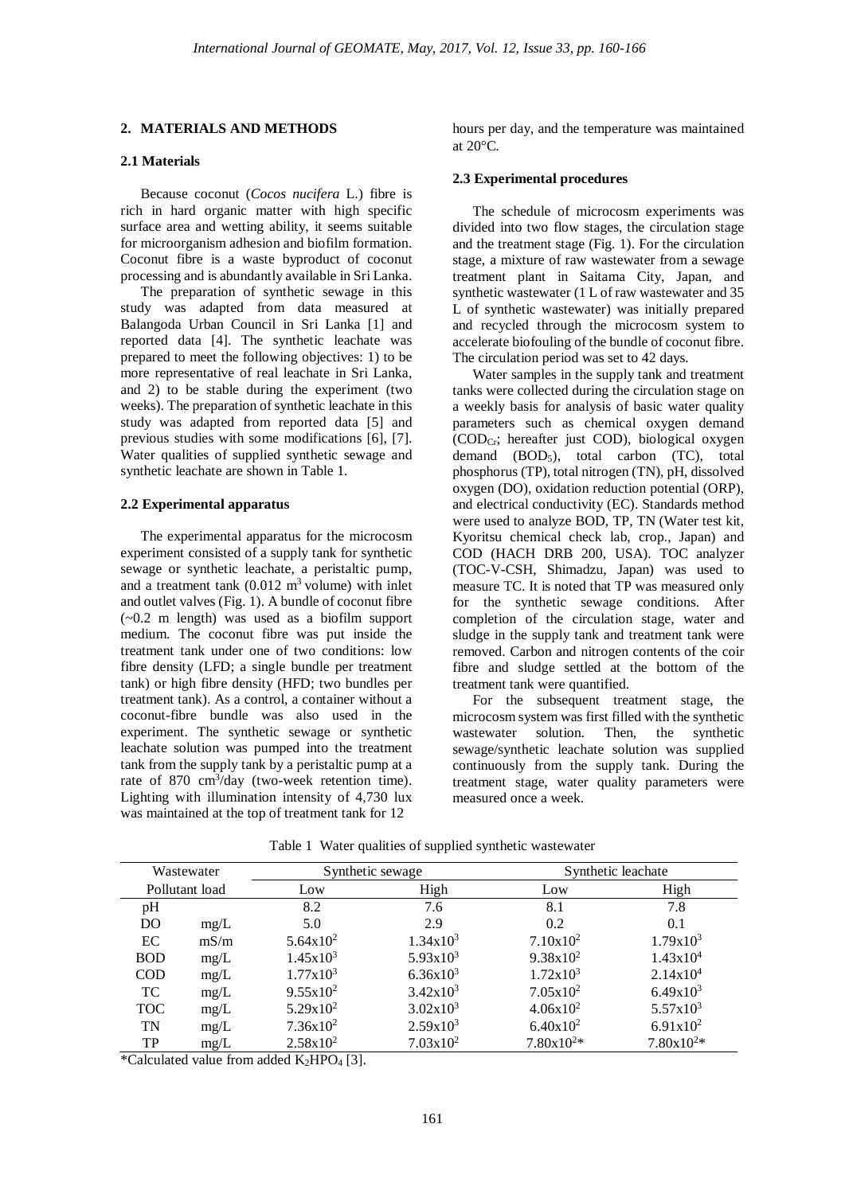# **2. MATERIALS AND METHODS**

#### **2.1 Materials**

Because coconut (*Cocos nucifera* L.) fibre is rich in hard organic matter with high specific surface area and wetting ability, it seems suitable for microorganism adhesion and biofilm formation. Coconut fibre is a waste byproduct of coconut processing and is abundantly available in Sri Lanka.

The preparation of synthetic sewage in this study was adapted from data measured at Balangoda Urban Council in Sri Lanka [1] and reported data [4]. The synthetic leachate was prepared to meet the following objectives: 1) to be more representative of real leachate in Sri Lanka, and 2) to be stable during the experiment (two weeks). The preparation of synthetic leachate in this study was adapted from reported data [5] and previous studies with some modifications [6], [7]. Water qualities of supplied synthetic sewage and synthetic leachate are shown in Table 1.

#### **2.2 Experimental apparatus**

The experimental apparatus for the microcosm experiment consisted of a supply tank for synthetic sewage or synthetic leachate, a peristaltic pump, and a treatment tank  $(0.012 \text{ m}^3 \text{ volume})$  with inlet and outlet valves (Fig. 1). A bundle of coconut fibre (~0.2 m length) was used as a biofilm support medium. The coconut fibre was put inside the treatment tank under one of two conditions: low fibre density (LFD; a single bundle per treatment tank) or high fibre density (HFD; two bundles per treatment tank). As a control, a container without a coconut-fibre bundle was also used in the experiment. The synthetic sewage or synthetic leachate solution was pumped into the treatment tank from the supply tank by a peristaltic pump at a rate of 870 cm<sup>3</sup>/day (two-week retention time). Lighting with illumination intensity of 4,730 lux was maintained at the top of treatment tank for 12

hours per day, and the temperature was maintained at 20°C.

#### **2.3 Experimental procedures**

The schedule of microcosm experiments was divided into two flow stages, the circulation stage and the treatment stage (Fig. 1). For the circulation stage, a mixture of raw wastewater from a sewage treatment plant in Saitama City, Japan, and synthetic wastewater (1 L of raw wastewater and 35 L of synthetic wastewater) was initially prepared and recycled through the microcosm system to accelerate biofouling of the bundle of coconut fibre. The circulation period was set to 42 days.

Water samples in the supply tank and treatment tanks were collected during the circulation stage on a weekly basis for analysis of basic water quality parameters such as chemical oxygen demand (CODCr; hereafter just COD), biological oxygen demand (BOD5), total carbon (TC), total phosphorus (TP), total nitrogen (TN), pH, dissolved oxygen (DO), oxidation reduction potential (ORP), and electrical conductivity (EC). Standards method were used to analyze BOD, TP, TN (Water test kit, Kyoritsu chemical check lab, crop., Japan) and COD (HACH DRB 200, USA). TOC analyzer (TOC-V-CSH, Shimadzu, Japan) was used to measure TC. It is noted that TP was measured only for the synthetic sewage conditions. After completion of the circulation stage, water and sludge in the supply tank and treatment tank were removed. Carbon and nitrogen contents of the coir fibre and sludge settled at the bottom of the treatment tank were quantified.

For the subsequent treatment stage, the microcosm system was first filled with the synthetic wastewater solution. Then, the synthetic sewage/synthetic leachate solution was supplied continuously from the supply tank. During the treatment stage, water quality parameters were measured once a week.

| Wastewater     |      |                      | Synthetic sewage     | Synthetic leachate   |                      |
|----------------|------|----------------------|----------------------|----------------------|----------------------|
| Pollutant load |      | Low                  | High                 | Low                  | High                 |
| pH             |      | 8.2                  | 7.6                  | 8.1                  | 7.8                  |
| D <sub>O</sub> | mg/L | 5.0                  | 2.9                  | 0.2                  | 0.1                  |
| EC             | mS/m | $5.64x10^2$          | 1.34x10 <sup>3</sup> | $7.10x10^2$          | 1.79x10 <sup>3</sup> |
| <b>BOD</b>     | mg/L | 1.45x10 <sup>3</sup> | $5.93x10^3$          | $9.38x10^2$          | 1.43x10 <sup>4</sup> |
| <b>COD</b>     | mg/L | 1.77x10 <sup>3</sup> | $6.36x10^{3}$        | 1.72x10 <sup>3</sup> | 2.14x10 <sup>4</sup> |
| TC             | mg/L | $9.55x10^2$          | $3.42x10^3$          | $7.05x10^2$          | 6.49x10 <sup>3</sup> |
| <b>TOC</b>     | mg/L | $5.29x10^2$          | 3.02x10 <sup>3</sup> | $4.06x10^2$          | $5.57x10^{3}$        |
| TN             | mg/L | $7.36x10^2$          | $2.59x10^3$          | $6.40x10^2$          | $6.91x10^2$          |
| TP             | mg/L | $2.58x10^2$          | $7.03x10^2$          | $7.80x10^{2*}$       | $7.80x10^{2*}$       |

Table 1 Water qualities of supplied synthetic wastewater

\*Calculated value from added  $K_2HPO_4$  [3].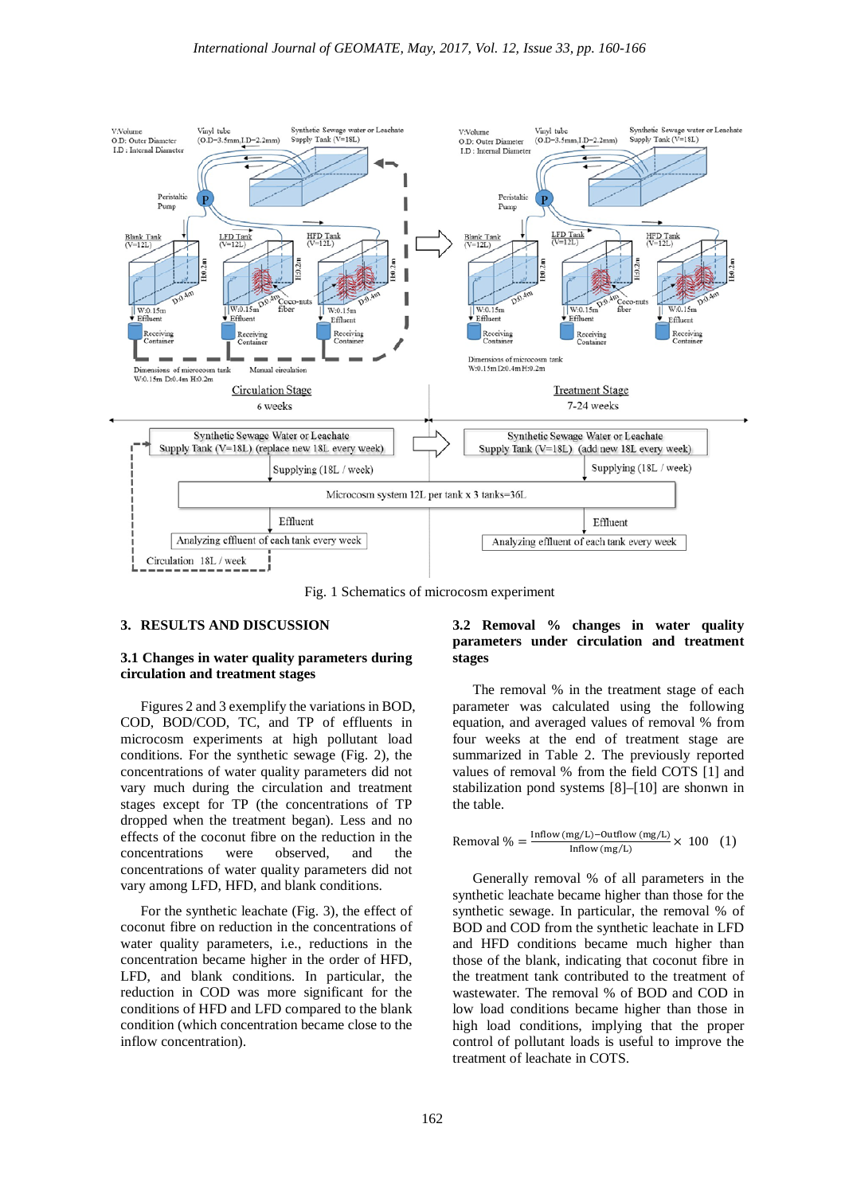

Fig. 1 Schematics of microcosm experiment

#### **3. RESULTS AND DISCUSSION**

## **3.1 Changes in water quality parameters during circulation and treatment stages**

Figures 2 and 3 exemplify the variations in BOD, COD, BOD/COD, TC, and TP of effluents in microcosm experiments at high pollutant load conditions. For the synthetic sewage (Fig. 2), the concentrations of water quality parameters did not vary much during the circulation and treatment stages except for TP (the concentrations of TP dropped when the treatment began). Less and no effects of the coconut fibre on the reduction in the concentrations were observed, and the concentrations of water quality parameters did not vary among LFD, HFD, and blank conditions.

For the synthetic leachate (Fig. 3), the effect of coconut fibre on reduction in the concentrations of water quality parameters, i.e., reductions in the concentration became higher in the order of HFD, LFD, and blank conditions. In particular, the reduction in COD was more significant for the conditions of HFD and LFD compared to the blank condition (which concentration became close to the inflow concentration).

# **3.2 Removal % changes in water quality parameters under circulation and treatment stages**

The removal % in the treatment stage of each parameter was calculated using the following equation, and averaged values of removal % from four weeks at the end of treatment stage are summarized in Table 2. The previously reported values of removal % from the field COTS [1] and stabilization pond systems [8]–[10] are shonwn in the table.

$$
\text{Removal } \% = \frac{\text{Inflow}\,(\text{mg/L}) - \text{Outflow}\,(\text{mg/L})}{\text{Inflow}\,(\text{mg/L})} \times \ 100 \quad (1)
$$

Generally removal % of all parameters in the synthetic leachate became higher than those for the synthetic sewage. In particular, the removal % of BOD and COD from the synthetic leachate in LFD and HFD conditions became much higher than those of the blank, indicating that coconut fibre in the treatment tank contributed to the treatment of wastewater. The removal % of BOD and COD in low load conditions became higher than those in high load conditions, implying that the proper control of pollutant loads is useful to improve the treatment of leachate in COTS.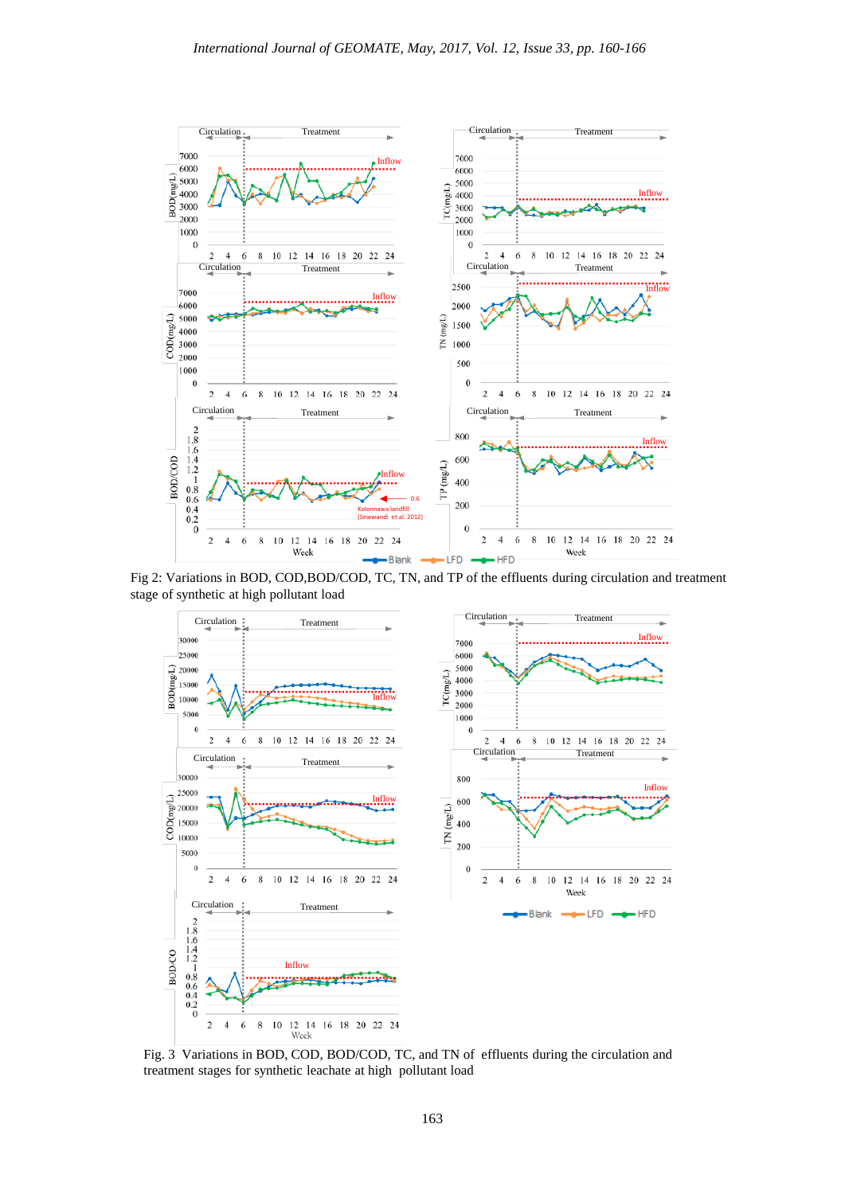

Fig 2: Variations in BOD, COD,BOD/COD, TC, TN, and TP of the effluents during circulation and treatment stage of synthetic at high pollutant load



Fig. 3 Variations in BOD, COD, BOD/COD, TC, and TN of effluents during the circulation and treatment stages for synthetic leachate at high pollutant load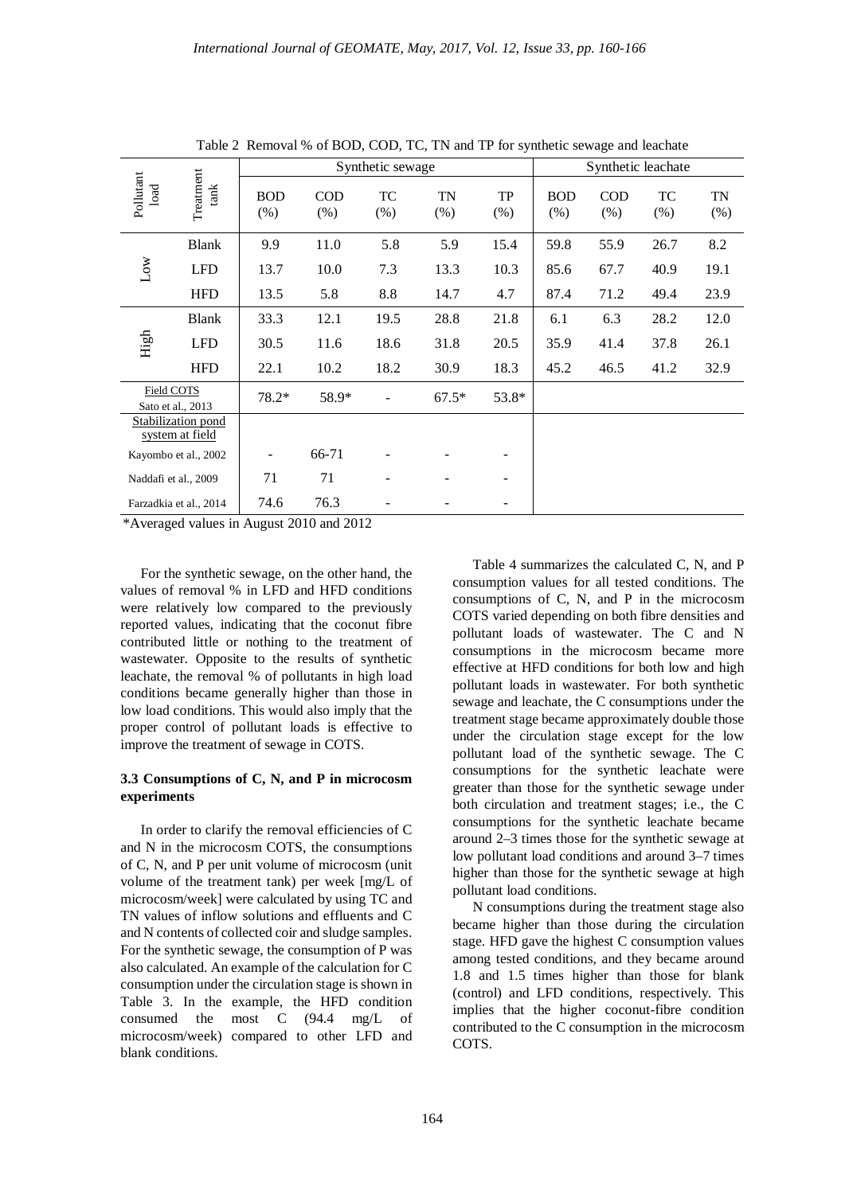|                                       |                    |                    | Synthetic leachate |           |            |            |                    |                    |           |            |
|---------------------------------------|--------------------|--------------------|--------------------|-----------|------------|------------|--------------------|--------------------|-----------|------------|
| Pollutant<br>load                     | Treatment<br>tan k | <b>BOD</b><br>(% ) | COD<br>(% )        | TC<br>(%) | TN<br>(% ) | TP<br>(% ) | <b>BOD</b><br>(% ) | <b>COD</b><br>(% ) | TC<br>(%) | TN<br>(% ) |
| $_{\text{Low}}$                       | <b>Blank</b>       | 9.9                | 11.0               | 5.8       | 5.9        | 15.4       | 59.8               | 55.9               | 26.7      | 8.2        |
|                                       | <b>LFD</b>         | 13.7               | 10.0               | 7.3       | 13.3       | 10.3       | 85.6               | 67.7               | 40.9      | 19.1       |
|                                       | <b>HFD</b>         | 13.5               | 5.8                | 8.8       | 14.7       | 4.7        | 87.4               | 71.2               | 49.4      | 23.9       |
| High                                  | <b>Blank</b>       | 33.3               | 12.1               | 19.5      | 28.8       | 21.8       | 6.1                | 6.3                | 28.2      | 12.0       |
|                                       | <b>LFD</b>         | 30.5               | 11.6               | 18.6      | 31.8       | 20.5       | 35.9               | 41.4               | 37.8      | 26.1       |
|                                       | <b>HFD</b>         | 22.1               | 10.2               | 18.2      | 30.9       | 18.3       | 45.2               | 46.5               | 41.2      | 32.9       |
| Field COTS<br>Sato et al., 2013       |                    | 78.2*              | 58.9*              |           | $67.5*$    | 53.8*      |                    |                    |           |            |
| Stabilization pond<br>system at field |                    |                    |                    |           |            |            |                    |                    |           |            |
| Kayombo et al., 2002                  |                    |                    | 66-71              |           |            |            |                    |                    |           |            |
| Naddafi et al., 2009                  |                    | 71                 | 71                 |           |            | -          |                    |                    |           |            |
| Farzadkia et al., 2014                |                    | 74.6               | 76.3               |           |            |            |                    |                    |           |            |

Table 2 Removal % of BOD, COD, TC, TN and TP for synthetic sewage and leachate

\*Averaged values in August 2010 and 2012

For the synthetic sewage, on the other hand, the values of removal % in LFD and HFD conditions were relatively low compared to the previously reported values, indicating that the coconut fibre contributed little or nothing to the treatment of wastewater. Opposite to the results of synthetic leachate, the removal % of pollutants in high load conditions became generally higher than those in low load conditions. This would also imply that the proper control of pollutant loads is effective to improve the treatment of sewage in COTS.

## **3.3 Consumptions of C, N, and P in microcosm experiments**

In order to clarify the removal efficiencies of C and N in the microcosm COTS, the consumptions of C, N, and P per unit volume of microcosm (unit volume of the treatment tank) per week [mg/L of microcosm/week] were calculated by using TC and TN values of inflow solutions and effluents and C and N contents of collected coir and sludge samples. For the synthetic sewage, the consumption of P was also calculated. An example of the calculation for C consumption under the circulation stage is shown in Table 3. In the example, the HFD condition consumed the most C (94.4 mg/L of microcosm/week) compared to other LFD and blank conditions.

Table 4 summarizes the calculated C, N, and P consumption values for all tested conditions. The consumptions of C, N, and P in the microcosm COTS varied depending on both fibre densities and pollutant loads of wastewater. The C and N consumptions in the microcosm became more effective at HFD conditions for both low and high pollutant loads in wastewater. For both synthetic sewage and leachate, the C consumptions under the treatment stage became approximately double those under the circulation stage except for the low pollutant load of the synthetic sewage. The C consumptions for the synthetic leachate were greater than those for the synthetic sewage under both circulation and treatment stages; i.e., the C consumptions for the synthetic leachate became around 2–3 times those for the synthetic sewage at low pollutant load conditions and around 3–7 times higher than those for the synthetic sewage at high pollutant load conditions.

N consumptions during the treatment stage also became higher than those during the circulation stage. HFD gave the highest C consumption values among tested conditions, and they became around 1.8 and 1.5 times higher than those for blank (control) and LFD conditions, respectively. This implies that the higher coconut-fibre condition contributed to the C consumption in the microcosm COTS.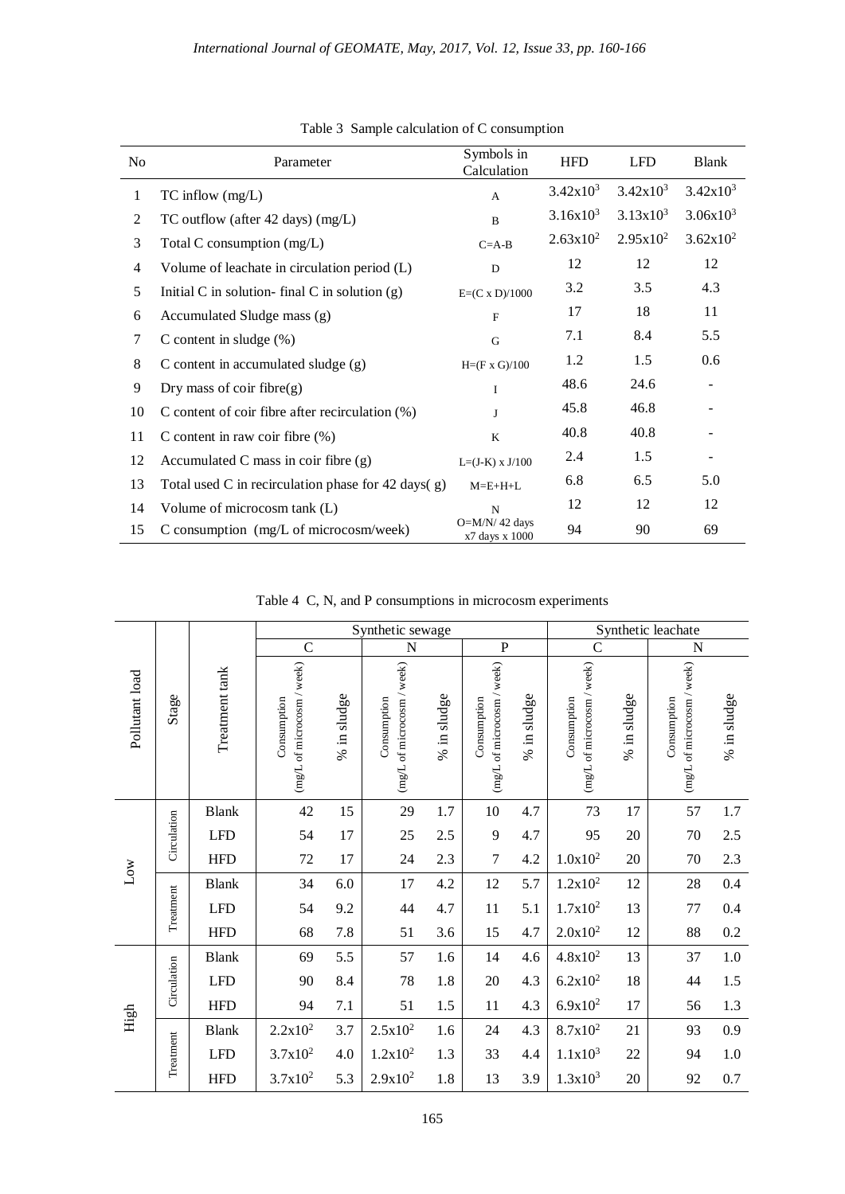| No             | Parameter                                              | Symbols in<br>Calculation         | <b>HFD</b>    | <b>LFD</b>  | <b>Blank</b>             |
|----------------|--------------------------------------------------------|-----------------------------------|---------------|-------------|--------------------------|
| $\mathbf{1}$   | $TC$ inflow $(mg/L)$                                   | $\mathbf{A}$                      | $3.42x10^3$   | $3.42x10^3$ | $3.42x10^3$              |
| 2              | TC outflow (after 42 days) $(mg/L)$                    | $\mathbf B$                       | $3.16x10^{3}$ | $3.13x10^3$ | $3.06x10^{3}$            |
| 3              | Total C consumption $(mg/L)$                           | $C = A - B$                       | $2.63x10^2$   | $2.95x10^2$ | $3.62x10^2$              |
| $\overline{4}$ | Volume of leachate in circulation period (L)           | ${\bf D}$                         | 12            | 12          | 12                       |
| 5              | Initial C in solution-final C in solution $(g)$        | $E=(C \times D)/1000$             | 3.2           | 3.5         | 4.3                      |
| 6              | Accumulated Sludge mass (g)                            | $\mathbf F$                       | 17            | 18          | 11                       |
| 7              | C content in sludge $(\%)$                             | G                                 | 7.1           | 8.4         | 5.5                      |
| 8              | C content in accumulated sludge (g)                    | $H=(F \times G)/100$              | 1.2           | 1.5         | 0.6                      |
| 9              | Dry mass of coir fibre $(g)$                           | $\mathbf I$                       | 48.6          | 24.6        | $\overline{\phantom{a}}$ |
| 10             | C content of coir fibre after recirculation $(\%)$     | $\mathbf{I}$                      | 45.8          | 46.8        |                          |
| 11             | C content in raw coir fibre $(\%)$                     | $\bf K$                           | 40.8          | 40.8        |                          |
| 12             | Accumulated C mass in coir fibre (g)                   | $L=(J-K) \times J/100$            | 2.4           | 1.5         |                          |
| 13             | Total used C in recirculation phase for 42 days( $g$ ) | $M=E+H+L$                         | 6.8           | 6.5         | 5.0                      |
| 14             | Volume of microcosm tank (L)                           | N                                 | 12            | 12          | 12                       |
| 15             | C consumption (mg/L of microcosm/week)                 | $O=M/N/42$ days<br>x7 days x 1000 | 94            | 90          | 69                       |

Table 3 Sample calculation of C consumption

Table 4 C, N, and P consumptions in microcosm experiments

|                |             |                | Synthetic sewage                          |             |                                           |             |                                           | Synthetic leachate |                                           |             |                                           |             |
|----------------|-------------|----------------|-------------------------------------------|-------------|-------------------------------------------|-------------|-------------------------------------------|--------------------|-------------------------------------------|-------------|-------------------------------------------|-------------|
| Pollutant load | Stage       | Treatment tank | $\mathcal{C}$                             |             | N                                         |             | $\mathbf P$                               |                    | $\mathcal{C}$                             |             | $\mathbf N$                               |             |
|                |             |                | (mg/L of microcosm / week)<br>Consumption | % in sludge | (mg/L of microcosm / week)<br>Consumption | % in sludge | (mg/L of microcosm / week)<br>Consumption | % in sludge        | (mg/L of microcosm / week)<br>Consumption | % in sludge | (mg/L of microcosm / week)<br>Consumption | % in sludge |
| Low            | Circulation | <b>Blank</b>   | 42                                        | 15          | 29                                        | 1.7         | $10\,$                                    | 4.7                | 73                                        | 17          | 57                                        | 1.7         |
|                |             | <b>LFD</b>     | 54                                        | 17          | 25                                        | 2.5         | 9                                         | 4.7                | 95                                        | 20          | 70                                        | 2.5         |
|                |             | <b>HFD</b>     | 72                                        | 17          | 24                                        | 2.3         | $\overline{7}$                            | 4.2                | $1.0x10^2$                                | 20          | 70                                        | 2.3         |
|                | Treatment   | <b>Blank</b>   | 34                                        | 6.0         | 17                                        | 4.2         | 12                                        | 5.7                | $1.2x10^2$                                | 12          | 28                                        | 0.4         |
|                |             | <b>LFD</b>     | 54                                        | 9.2         | 44                                        | 4.7         | 11                                        | 5.1                | $1.7x10^2$                                | 13          | 77                                        | 0.4         |
|                |             | <b>HFD</b>     | 68                                        | 7.8         | 51                                        | 3.6         | 15                                        | 4.7                | $2.0x10^2$                                | 12          | 88                                        | 0.2         |
| High           |             | <b>Blank</b>   | 69                                        | 5.5         | 57                                        | 1.6         | 14                                        | 4.6                | $4.8x10^2$                                | 13          | 37                                        | $1.0\,$     |
|                | Circulation | <b>LFD</b>     | 90                                        | 8.4         | 78                                        | 1.8         | 20                                        | 4.3                | $6.2x10^2$                                | 18          | 44                                        | 1.5         |
|                |             | <b>HFD</b>     | 94                                        | 7.1         | 51                                        | 1.5         | 11                                        | 4.3                | $6.9x10^2$                                | 17          | 56                                        | 1.3         |
|                | Treatment   | <b>Blank</b>   | $2.2x10^2$                                | 3.7         | $2.5x10^2$                                | 1.6         | 24                                        | 4.3                | $8.7x10^2$                                | 21          | 93                                        | 0.9         |
|                |             | <b>LFD</b>     | $3.7x10^2$                                | 4.0         | $1.2x10^2$                                | 1.3         | 33                                        | 4.4                | $1.1x10^3$                                | 22          | 94                                        | $1.0\,$     |
|                |             | <b>HFD</b>     | $3.7x10^2$                                | 5.3         | $2.9x10^2$                                | 1.8         | 13                                        | 3.9                | $1.3x10^{3}$                              | 20          | 92                                        | 0.7         |